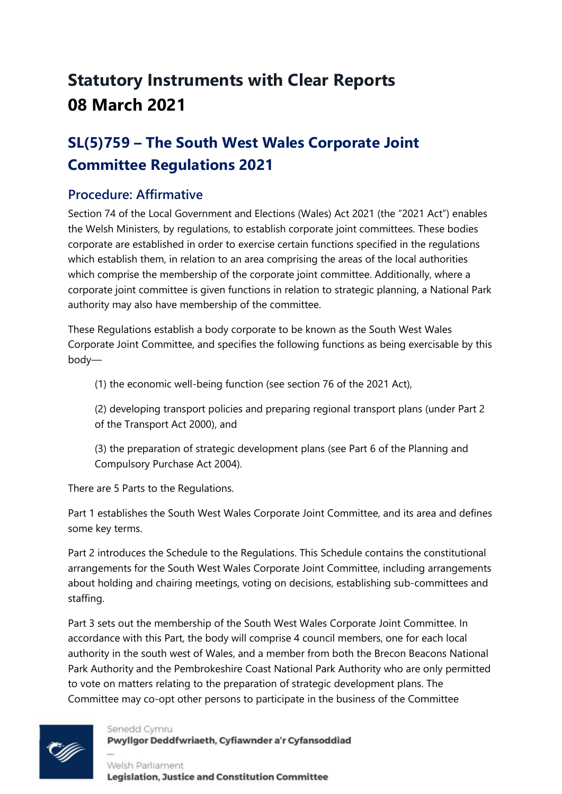# **Statutory Instruments with Clear Reports 08 March 2021**

# **SL(5)759 – The South West Wales Corporate Joint Committee Regulations 2021**

#### **Procedure: Affirmative**

Section 74 of the Local Government and Elections (Wales) Act 2021 (the "2021 Act") enables the Welsh Ministers, by regulations, to establish corporate joint committees. These bodies corporate are established in order to exercise certain functions specified in the regulations which establish them, in relation to an area comprising the areas of the local authorities which comprise the membership of the corporate joint committee. Additionally, where a corporate joint committee is given functions in relation to strategic planning, a National Park authority may also have membership of the committee.

These Regulations establish a body corporate to be known as the South West Wales Corporate Joint Committee, and specifies the following functions as being exercisable by this body—

(1) the economic well-being function (see section 76 of the 2021 Act),

(2) developing transport policies and preparing regional transport plans (under Part 2 of the Transport Act 2000), and

(3) the preparation of strategic development plans (see Part 6 of the Planning and Compulsory Purchase Act 2004).

There are 5 Parts to the Regulations.

Part 1 establishes the South West Wales Corporate Joint Committee, and its area and defines some key terms.

Part 2 introduces the Schedule to the Regulations. This Schedule contains the constitutional arrangements for the South West Wales Corporate Joint Committee, including arrangements about holding and chairing meetings, voting on decisions, establishing sub-committees and staffing.

Part 3 sets out the membership of the South West Wales Corporate Joint Committee. In accordance with this Part, the body will comprise 4 council members, one for each local authority in the south west of Wales, and a member from both the Brecon Beacons National Park Authority and the Pembrokeshire Coast National Park Authority who are only permitted to vote on matters relating to the preparation of strategic development plans. The Committee may co-opt other persons to participate in the business of the Committee



Senedd Cymru Pwyllgor Deddfwriaeth, Cyfiawnder a'r Cyfansoddiad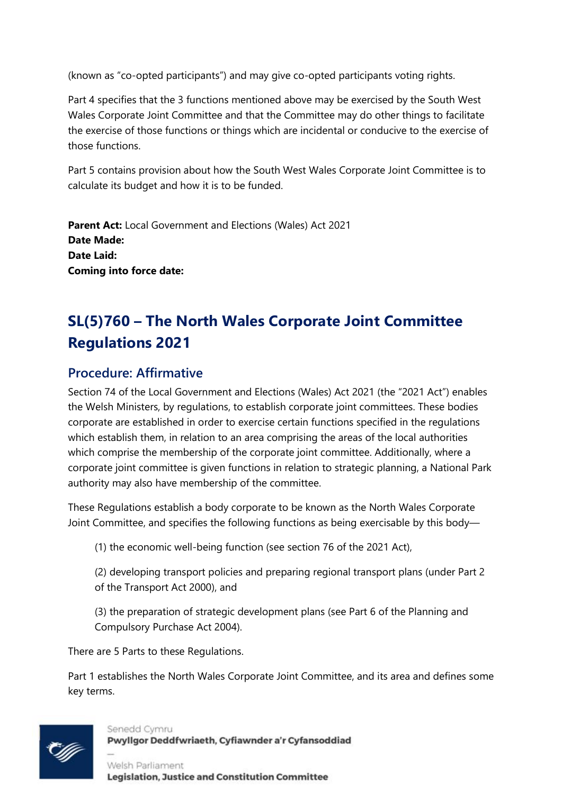(known as "co-opted participants") and may give co-opted participants voting rights.

Part 4 specifies that the 3 functions mentioned above may be exercised by the South West Wales Corporate Joint Committee and that the Committee may do other things to facilitate the exercise of those functions or things which are incidental or conducive to the exercise of those functions.

Part 5 contains provision about how the South West Wales Corporate Joint Committee is to calculate its budget and how it is to be funded.

**Parent Act:** Local Government and Elections (Wales) Act 2021 **Date Made: Date Laid: Coming into force date:**

# **SL(5)760 – The North Wales Corporate Joint Committee Regulations 2021**

#### **Procedure: Affirmative**

Section 74 of the Local Government and Elections (Wales) Act 2021 (the "2021 Act") enables the Welsh Ministers, by regulations, to establish corporate joint committees. These bodies corporate are established in order to exercise certain functions specified in the regulations which establish them, in relation to an area comprising the areas of the local authorities which comprise the membership of the corporate joint committee. Additionally, where a corporate joint committee is given functions in relation to strategic planning, a National Park authority may also have membership of the committee.

These Regulations establish a body corporate to be known as the North Wales Corporate Joint Committee, and specifies the following functions as being exercisable by this body—

(1) the economic well-being function (see section 76 of the 2021 Act),

(2) developing transport policies and preparing regional transport plans (under Part 2 of the Transport Act 2000), and

(3) the preparation of strategic development plans (see Part 6 of the Planning and Compulsory Purchase Act 2004).

There are 5 Parts to these Regulations.

Part 1 establishes the North Wales Corporate Joint Committee, and its area and defines some key terms.



Senedd Cymru Pwyllgor Deddfwriaeth, Cyfiawnder a'r Cyfansoddiad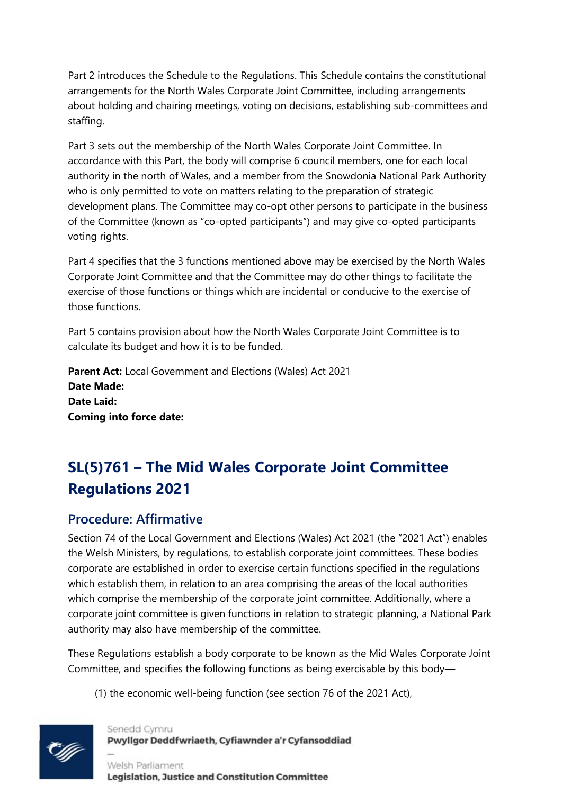Part 2 introduces the Schedule to the Regulations. This Schedule contains the constitutional arrangements for the North Wales Corporate Joint Committee, including arrangements about holding and chairing meetings, voting on decisions, establishing sub-committees and staffing.

Part 3 sets out the membership of the North Wales Corporate Joint Committee. In accordance with this Part, the body will comprise 6 council members, one for each local authority in the north of Wales, and a member from the Snowdonia National Park Authority who is only permitted to vote on matters relating to the preparation of strategic development plans. The Committee may co-opt other persons to participate in the business of the Committee (known as "co-opted participants") and may give co-opted participants voting rights.

Part 4 specifies that the 3 functions mentioned above may be exercised by the North Wales Corporate Joint Committee and that the Committee may do other things to facilitate the exercise of those functions or things which are incidental or conducive to the exercise of those functions.

Part 5 contains provision about how the North Wales Corporate Joint Committee is to calculate its budget and how it is to be funded.

**Parent Act:** Local Government and Elections (Wales) Act 2021 **Date Made: Date Laid: Coming into force date:**

# **SL(5)761 – The Mid Wales Corporate Joint Committee Regulations 2021**

#### **Procedure: Affirmative**

Section 74 of the Local Government and Elections (Wales) Act 2021 (the "2021 Act") enables the Welsh Ministers, by regulations, to establish corporate joint committees. These bodies corporate are established in order to exercise certain functions specified in the regulations which establish them, in relation to an area comprising the areas of the local authorities which comprise the membership of the corporate joint committee. Additionally, where a corporate joint committee is given functions in relation to strategic planning, a National Park authority may also have membership of the committee.

These Regulations establish a body corporate to be known as the Mid Wales Corporate Joint Committee, and specifies the following functions as being exercisable by this body—

(1) the economic well-being function (see section 76 of the 2021 Act),



Senedd Cymru Pwyllgor Deddfwriaeth, Cyfiawnder a'r Cyfansoddiad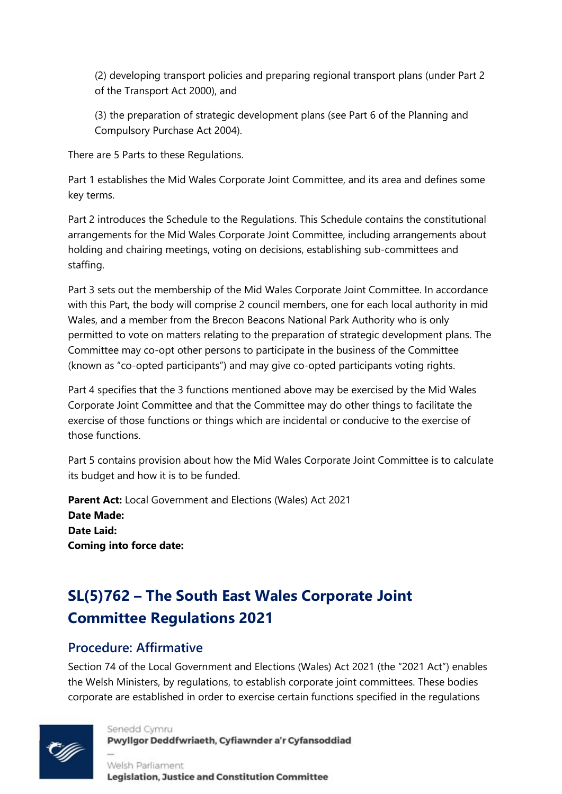(2) developing transport policies and preparing regional transport plans (under Part 2 of the Transport Act 2000), and

(3) the preparation of strategic development plans (see Part 6 of the Planning and Compulsory Purchase Act 2004).

There are 5 Parts to these Regulations.

Part 1 establishes the Mid Wales Corporate Joint Committee, and its area and defines some key terms.

Part 2 introduces the Schedule to the Regulations. This Schedule contains the constitutional arrangements for the Mid Wales Corporate Joint Committee, including arrangements about holding and chairing meetings, voting on decisions, establishing sub-committees and staffing.

Part 3 sets out the membership of the Mid Wales Corporate Joint Committee. In accordance with this Part, the body will comprise 2 council members, one for each local authority in mid Wales, and a member from the Brecon Beacons National Park Authority who is only permitted to vote on matters relating to the preparation of strategic development plans. The Committee may co-opt other persons to participate in the business of the Committee (known as "co-opted participants") and may give co-opted participants voting rights.

Part 4 specifies that the 3 functions mentioned above may be exercised by the Mid Wales Corporate Joint Committee and that the Committee may do other things to facilitate the exercise of those functions or things which are incidental or conducive to the exercise of those functions.

Part 5 contains provision about how the Mid Wales Corporate Joint Committee is to calculate its budget and how it is to be funded.

**Parent Act:** Local Government and Elections (Wales) Act 2021 **Date Made: Date Laid: Coming into force date:**

# **SL(5)762 – The South East Wales Corporate Joint Committee Regulations 2021**

#### **Procedure: Affirmative**

Section 74 of the Local Government and Elections (Wales) Act 2021 (the "2021 Act") enables the Welsh Ministers, by regulations, to establish corporate joint committees. These bodies corporate are established in order to exercise certain functions specified in the regulations



Senedd Cymru Pwyllgor Deddfwriaeth, Cyfiawnder a'r Cyfansoddiad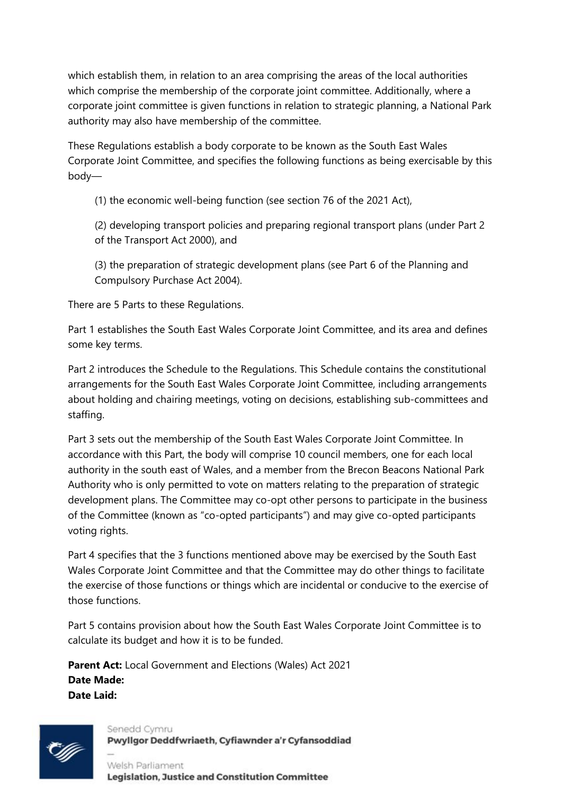which establish them, in relation to an area comprising the areas of the local authorities which comprise the membership of the corporate joint committee. Additionally, where a corporate joint committee is given functions in relation to strategic planning, a National Park authority may also have membership of the committee.

These Regulations establish a body corporate to be known as the South East Wales Corporate Joint Committee, and specifies the following functions as being exercisable by this body—

(1) the economic well-being function (see section 76 of the 2021 Act),

(2) developing transport policies and preparing regional transport plans (under Part 2 of the Transport Act 2000), and

(3) the preparation of strategic development plans (see Part 6 of the Planning and Compulsory Purchase Act 2004).

There are 5 Parts to these Regulations.

Part 1 establishes the South East Wales Corporate Joint Committee, and its area and defines some key terms.

Part 2 introduces the Schedule to the Regulations. This Schedule contains the constitutional arrangements for the South East Wales Corporate Joint Committee, including arrangements about holding and chairing meetings, voting on decisions, establishing sub-committees and staffing.

Part 3 sets out the membership of the South East Wales Corporate Joint Committee. In accordance with this Part, the body will comprise 10 council members, one for each local authority in the south east of Wales, and a member from the Brecon Beacons National Park Authority who is only permitted to vote on matters relating to the preparation of strategic development plans. The Committee may co-opt other persons to participate in the business of the Committee (known as "co-opted participants") and may give co-opted participants voting rights.

Part 4 specifies that the 3 functions mentioned above may be exercised by the South East Wales Corporate Joint Committee and that the Committee may do other things to facilitate the exercise of those functions or things which are incidental or conducive to the exercise of those functions.

Part 5 contains provision about how the South East Wales Corporate Joint Committee is to calculate its budget and how it is to be funded.

**Parent Act:** Local Government and Elections (Wales) Act 2021 **Date Made: Date Laid:**



Senedd Cymru Pwyllgor Deddfwriaeth, Cyfiawnder a'r Cyfansoddiad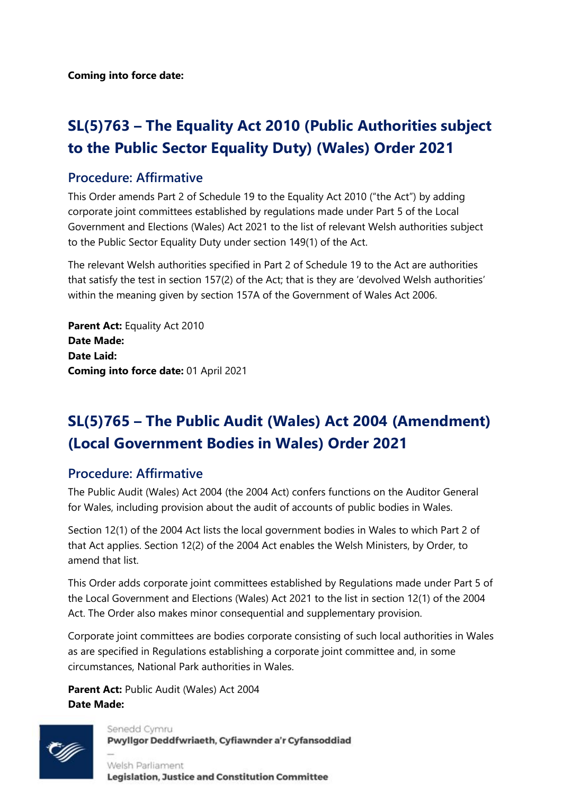**Coming into force date:**

### **SL(5)763 – The Equality Act 2010 (Public Authorities subject to the Public Sector Equality Duty) (Wales) Order 2021**

#### **Procedure: Affirmative**

This Order amends Part 2 of Schedule 19 to the Equality Act 2010 ("the Act") by adding corporate joint committees established by regulations made under Part 5 of the Local Government and Elections (Wales) Act 2021 to the list of relevant Welsh authorities subject to the Public Sector Equality Duty under section 149(1) of the Act.

The relevant Welsh authorities specified in Part 2 of Schedule 19 to the Act are authorities that satisfy the test in section 157(2) of the Act; that is they are 'devolved Welsh authorities' within the meaning given by section 157A of the Government of Wales Act 2006.

**Parent Act:** Equality Act 2010 **Date Made: Date Laid: Coming into force date:** 01 April 2021

# **SL(5)765 – The Public Audit (Wales) Act 2004 (Amendment) (Local Government Bodies in Wales) Order 2021**

#### **Procedure: Affirmative**

The Public Audit (Wales) Act 2004 (the 2004 Act) confers functions on the Auditor General for Wales, including provision about the audit of accounts of public bodies in Wales.

Section 12(1) of the 2004 Act lists the local government bodies in Wales to which Part 2 of that Act applies. Section 12(2) of the 2004 Act enables the Welsh Ministers, by Order, to amend that list.

This Order adds corporate joint committees established by Regulations made under Part 5 of the Local Government and Elections (Wales) Act 2021 to the list in section 12(1) of the 2004 Act. The Order also makes minor consequential and supplementary provision.

Corporate joint committees are bodies corporate consisting of such local authorities in Wales as are specified in Regulations establishing a corporate joint committee and, in some circumstances, National Park authorities in Wales.

**Parent Act:** Public Audit (Wales) Act 2004 **Date Made:**

Senedd Cymru



Pwyllgor Deddfwriaeth, Cyfiawnder a'r Cyfansoddiad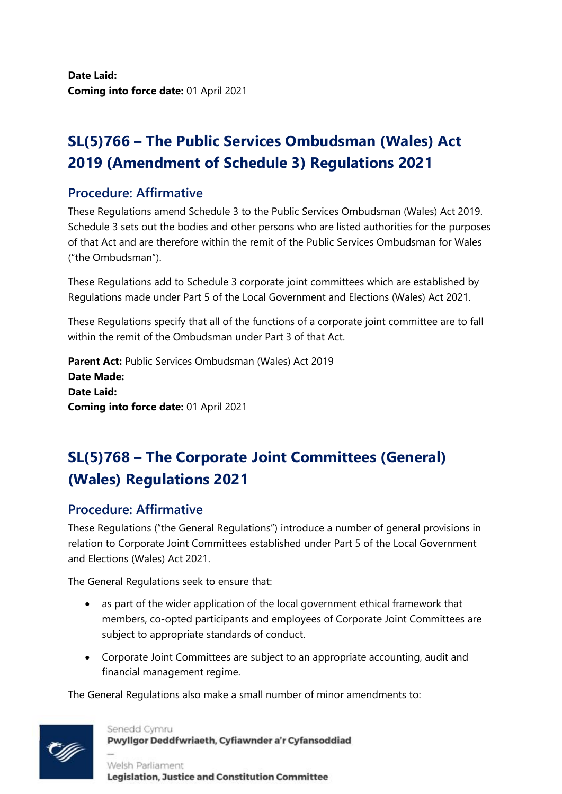**Date Laid: Coming into force date:** 01 April 2021

### **SL(5)766 – The Public Services Ombudsman (Wales) Act 2019 (Amendment of Schedule 3) Regulations 2021**

#### **Procedure: Affirmative**

These Regulations amend Schedule 3 to the Public Services Ombudsman (Wales) Act 2019. Schedule 3 sets out the bodies and other persons who are listed authorities for the purposes of that Act and are therefore within the remit of the Public Services Ombudsman for Wales ("the Ombudsman").

These Regulations add to Schedule 3 corporate joint committees which are established by Regulations made under Part 5 of the Local Government and Elections (Wales) Act 2021.

These Regulations specify that all of the functions of a corporate joint committee are to fall within the remit of the Ombudsman under Part 3 of that Act.

**Parent Act:** Public Services Ombudsman (Wales) Act 2019 **Date Made: Date Laid: Coming into force date:** 01 April 2021

# **SL(5)768 – The Corporate Joint Committees (General) (Wales) Regulations 2021**

#### **Procedure: Affirmative**

These Regulations ("the General Regulations") introduce a number of general provisions in relation to Corporate Joint Committees established under Part 5 of the Local Government and Elections (Wales) Act 2021.

The General Regulations seek to ensure that:

- as part of the wider application of the local government ethical framework that members, co-opted participants and employees of Corporate Joint Committees are subject to appropriate standards of conduct.
- Corporate Joint Committees are subject to an appropriate accounting, audit and financial management regime.

The General Regulations also make a small number of minor amendments to:



Senedd Cymru Pwyllgor Deddfwriaeth, Cyfiawnder a'r Cyfansoddiad